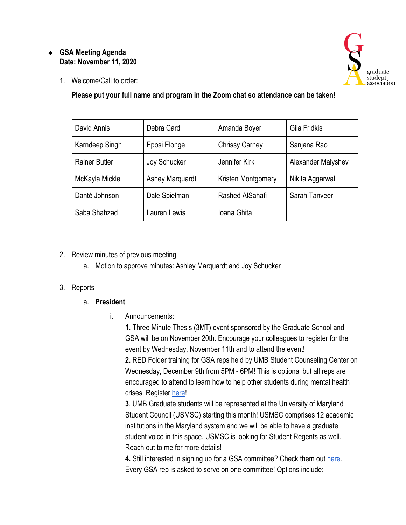#### ❖ **GSA Meeting Agenda Date: November 11, 2020**



1. Welcome/Call to order:

**Please put your full name and program in the Zoom chat so attendance can be taken!**

| David Annis          | Debra Card             | Amanda Boyer          | Gila Fridkis       |
|----------------------|------------------------|-----------------------|--------------------|
| Karndeep Singh       | Eposi Elonge           | <b>Chrissy Carney</b> | Sanjana Rao        |
| <b>Rainer Butler</b> | Joy Schucker           | Jennifer Kirk         | Alexander Malyshev |
| McKayla Mickle       | <b>Ashey Marquardt</b> | Kristen Montgomery    | Nikita Aggarwal    |
| Danté Johnson        | Dale Spielman          | Rashed AlSahafi       | Sarah Tanveer      |
| Saba Shahzad         | Lauren Lewis           | Ioana Ghita           |                    |

## 2. Review minutes of previous meeting

a. Motion to approve minutes: Ashley Marquardt and Joy Schucker

## 3. Reports

## a. **President**

i. Announcements:

**1.** Three Minute Thesis (3MT) event sponsored by the Graduate School and GSA will be on November 20th. Encourage your colleagues to register for the event by Wednesday, November 11th and to attend the event! **2.** RED Folder training for GSA reps held by UMB Student Counseling Center on Wednesday, December 9th from 5PM - 6PM! This is optional but all reps are encouraged to attend to learn how to help other students during mental health crises. Register [here](https://umbconnect.umaryland.edu/event/6600417)!

**3**. UMB Graduate students will be represented at the University of Maryland Student Council (USMSC) starting this month! USMSC comprises 12 academic institutions in the Maryland system and we will be able to have a graduate student voice in this space. USMSC is looking for Student Regents as well. Reach out to me for more details!

**4.** Still interested in signing up for a GSA committee? Check them out [here.](https://docs.google.com/spreadsheets/d/1xr3QjsIzToEIMlLTKzh61J_ApBAT5ZAzqzrTozF3aZk/edit?usp=sharing) Every GSA rep is asked to serve on one committee! Options include: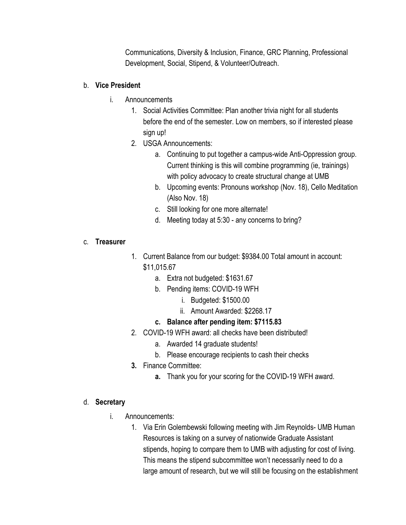Communications, Diversity & Inclusion, Finance, GRC Planning, Professional Development, Social, Stipend, & Volunteer/Outreach.

## b. **Vice President**

- i. Announcements
	- 1. Social Activities Committee: Plan another trivia night for all students before the end of the semester. Low on members, so if interested please sign up!
	- 2. USGA Announcements:
		- a. Continuing to put together a campus-wide Anti-Oppression group. Current thinking is this will combine programming (ie, trainings) with policy advocacy to create structural change at UMB
		- b. Upcoming events: Pronouns workshop (Nov. 18), Cello Meditation (Also Nov. 18)
		- c. Still looking for one more alternate!
		- d. Meeting today at 5:30 any concerns to bring?

#### c. **Treasurer**

- 1. Current Balance from our budget: \$9384.00 Total amount in account: \$11,015.67
	- a. Extra not budgeted: \$1631.67
	- b. Pending items: COVID-19 WFH
		- i. Budgeted: \$1500.00
		- ii. Amount Awarded: \$2268.17

## **c. Balance after pending item: \$7115.83**

- 2. COVID-19 WFH award: all checks have been distributed!
	- a. Awarded 14 graduate students!
	- b. Please encourage recipients to cash their checks
- **3.** Finance Committee:
	- **a.** Thank you for your scoring for the COVID-19 WFH award.

#### d. **Secretary**

- i. Announcements:
	- 1. Via Erin Golembewski following meeting with Jim Reynolds- UMB Human Resources is taking on a survey of nationwide Graduate Assistant stipends, hoping to compare them to UMB with adjusting for cost of living. This means the stipend subcommittee won't necessarily need to do a large amount of research, but we will still be focusing on the establishment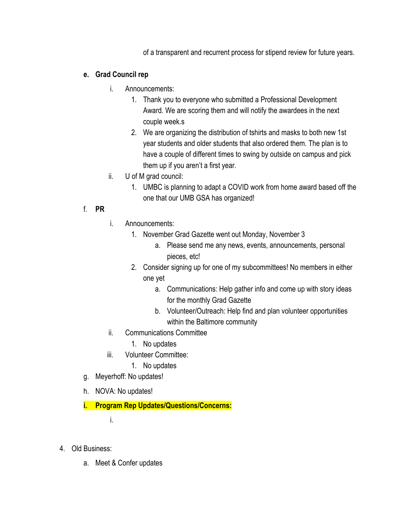of a transparent and recurrent process for stipend review for future years.

## **e. Grad Council rep**

- i. Announcements:
	- 1. Thank you to everyone who submitted a Professional Development Award. We are scoring them and will notify the awardees in the next couple week.s
	- 2. We are organizing the distribution of tshirts and masks to both new 1st year students and older students that also ordered them. The plan is to have a couple of different times to swing by outside on campus and pick them up if you aren't a first year.
- ii. U of M grad council:
	- 1. UMBC is planning to adapt a COVID work from home award based off the one that our UMB GSA has organized!

# f. **PR**

- i. Announcements:
	- 1. November Grad Gazette went out Monday, November 3
		- a. Please send me any news, events, announcements, personal pieces, etc!
	- 2. Consider signing up for one of my subcommittees! No members in either one yet
		- a. Communications: Help gather info and come up with story ideas for the monthly Grad Gazette
		- b. Volunteer/Outreach: Help find and plan volunteer opportunities within the Baltimore community
- ii. Communications Committee
	- 1. No updates
- iii. Volunteer Committee:
	- 1. No updates
- g. Meyerhoff: No updates!
- h. NOVA: No updates!
- **i. Program Rep Updates/Questions/Concerns:**

i.

- 4. Old Business:
	- a. Meet & Confer updates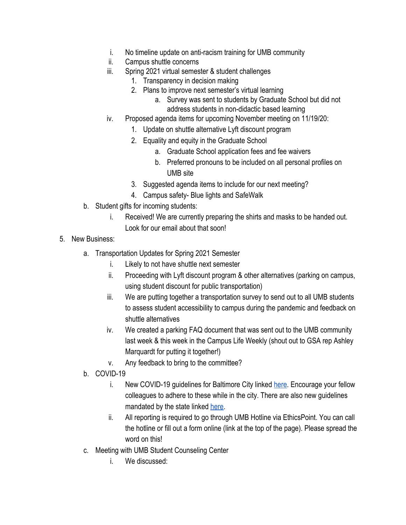- i. No timeline update on anti-racism training for UMB community
- ii. Campus shuttle concerns
- iii. Spring 2021 virtual semester & student challenges
	- 1. Transparency in decision making
	- 2. Plans to improve next semester's virtual learning
		- a. Survey was sent to students by Graduate School but did not address students in non-didactic based learning
- iv. Proposed agenda items for upcoming November meeting on 11/19/20:
	- 1. Update on shuttle alternative Lyft discount program
	- 2. Equality and equity in the Graduate School
		- a. Graduate School application fees and fee waivers
		- b. Preferred pronouns to be included on all personal profiles on UMB site
	- 3. Suggested agenda items to include for our next meeting?
	- 4. Campus safety- Blue lights and SafeWalk
- b. Student gifts for incoming students:
	- i. Received! We are currently preparing the shirts and masks to be handed out. Look for our email about that soon!
- 5. New Business:
	- a. Transportation Updates for Spring 2021 Semester
		- i. Likely to not have shuttle next semester
		- ii. Proceeding with Lyft discount program & other alternatives (parking on campus, using student discount for public transportation)
		- iii. We are putting together a transportation survey to send out to all UMB students to assess student accessibility to campus during the pandemic and feedback on shuttle alternatives
		- iv. We created a parking FAQ document that was sent out to the UMB community last week & this week in the Campus Life Weekly (shout out to GSA rep Ashley Marquardt for putting it together!)
		- v. Any feedback to bring to the committee?
	- b. COVID-19
		- i. New COVID-19 guidelines for Baltimore City linked [here.](https://www.wbaltv.com/article/baltimore-city-coronavirus-update-november-6-restrictions/34601762) Encourage your fellow colleagues to adhere to these while in the city. There are also new guidelines mandated by the state linked [here.](https://www.baltimoresun.com/coronavirus/bs-md-coronavirus-restrictions-rolled-back-20201111-clp6fhuwzjaubmfqd2cntyie24-story.html)
		- ii. All reporting is required to go through UMB Hotline via EthicsPoint. You can call the hotline or fill out a form online (link at the top of the page). Please spread the word on this!
	- c. Meeting with UMB Student Counseling Center
		- i. We discussed: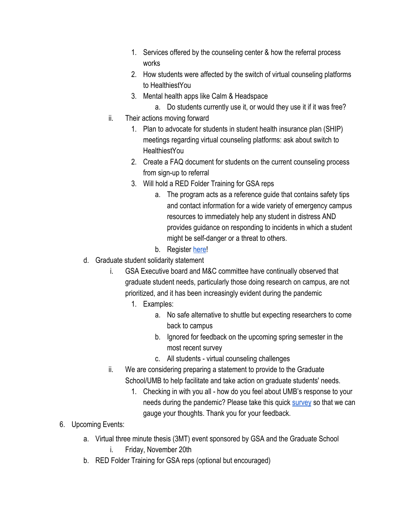- 1. Services offered by the counseling center & how the referral process works
- 2. How students were affected by the switch of virtual counseling platforms to HealthiestYou
- 3. Mental health apps like Calm & Headspace
	- a. Do students currently use it, or would they use it if it was free?
- ii. Their actions moving forward
	- 1. Plan to advocate for students in student health insurance plan (SHIP) meetings regarding virtual counseling platforms: ask about switch to **HealthiestYou**
	- 2. Create a FAQ document for students on the current counseling process from sign-up to referral
	- 3. Will hold a RED Folder Training for GSA reps
		- a. The program acts as a reference guide that contains safety tips and contact information for a wide variety of emergency campus resources to immediately help any student in distress AND provides guidance on responding to incidents in which a student might be self-danger or a threat to others.
		- b. Register [here](https://umbconnect.umaryland.edu/event/6600417)!
- d. Graduate student solidarity statement
	- i. GSA Executive board and M&C committee have continually observed that graduate student needs, particularly those doing research on campus, are not prioritized, and it has been increasingly evident during the pandemic
		- 1. Examples:
			- a. No safe alternative to shuttle but expecting researchers to come back to campus
			- b. Ignored for feedback on the upcoming spring semester in the most recent survey
			- c. All students virtual counseling challenges
	- ii. We are considering preparing a statement to provide to the Graduate School/UMB to help facilitate and take action on graduate students' needs.
		- 1. Checking in with you all how do you feel about UMB's response to your needs during the pandemic? Please take this quick [survey](https://docs.google.com/forms/d/e/1FAIpQLSfV-W3pHBhNe6NbV66j1l-VEItZN_-E868-NxMGT99vHgTQ5w/viewform?usp=sf_link) so that we can gauge your thoughts. Thank you for your feedback.
- 6. Upcoming Events:
	- a. Virtual three minute thesis (3MT) event sponsored by GSA and the Graduate School i. Friday, November 20th
	- b. RED Folder Training for GSA reps (optional but encouraged)